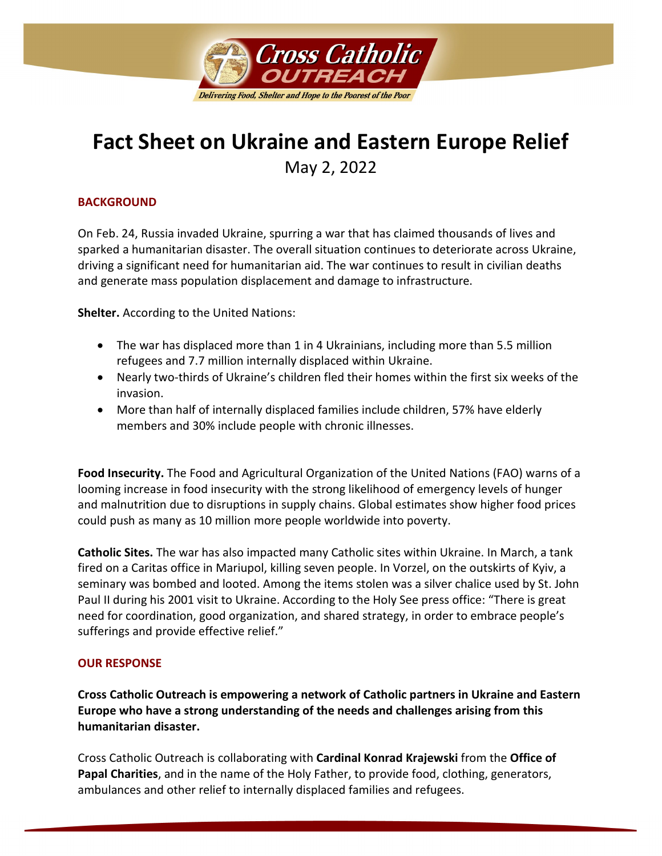

# **Fact Sheet on Ukraine and Eastern Europe Relief**

May 2, 2022

## **BACKGROUND**

On Feb. 24, Russia invaded Ukraine, spurring a war that has claimed thousands of lives and sparked a humanitarian disaster. The overall situation continues to deteriorate across Ukraine, driving a significant need for humanitarian aid. The war continues to result in civilian deaths and generate mass population displacement and damage to infrastructure.

**Shelter.** According to the United Nations:

- The war has displaced more than 1 in 4 Ukrainians, including more than 5.5 million refugees and 7.7 million internally displaced within Ukraine.
- Nearly two-thirds of Ukraine's children fled their homes within the first six weeks of the invasion.
- More than half of internally displaced families include children, 57% have elderly members and 30% include people with chronic illnesses.

**Food Insecurity.** The Food and Agricultural Organization of the United Nations (FAO) warns of a looming increase in food insecurity with the strong likelihood of emergency levels of hunger and malnutrition due to disruptions in supply chains. Global estimates show higher food prices could push as many as 10 million more people worldwide into poverty.

**Catholic Sites.** The war has also impacted many Catholic sites within Ukraine. In March, a tank fired on a Caritas office in Mariupol, killing seven people. In Vorzel, on the outskirts of Kyiv, a seminary was bombed and looted. Among the items stolen was a silver chalice used by St. John Paul II during his 2001 visit to Ukraine. According to the Holy See press office: "There is great need for coordination, good organization, and shared strategy, in order to embrace people's sufferings and provide effective relief."

#### **OUR RESPONSE**

**Cross Catholic Outreach is empowering a network of Catholic partners in Ukraine and Eastern Europe who have a strong understanding of the needs and challenges arising from this humanitarian disaster.**

Cross Catholic Outreach is collaborating with **Cardinal Konrad Krajewski** from the **Office of Papal Charities**, and in the name of the Holy Father, to provide food, clothing, generators, ambulances and other relief to internally displaced families and refugees.